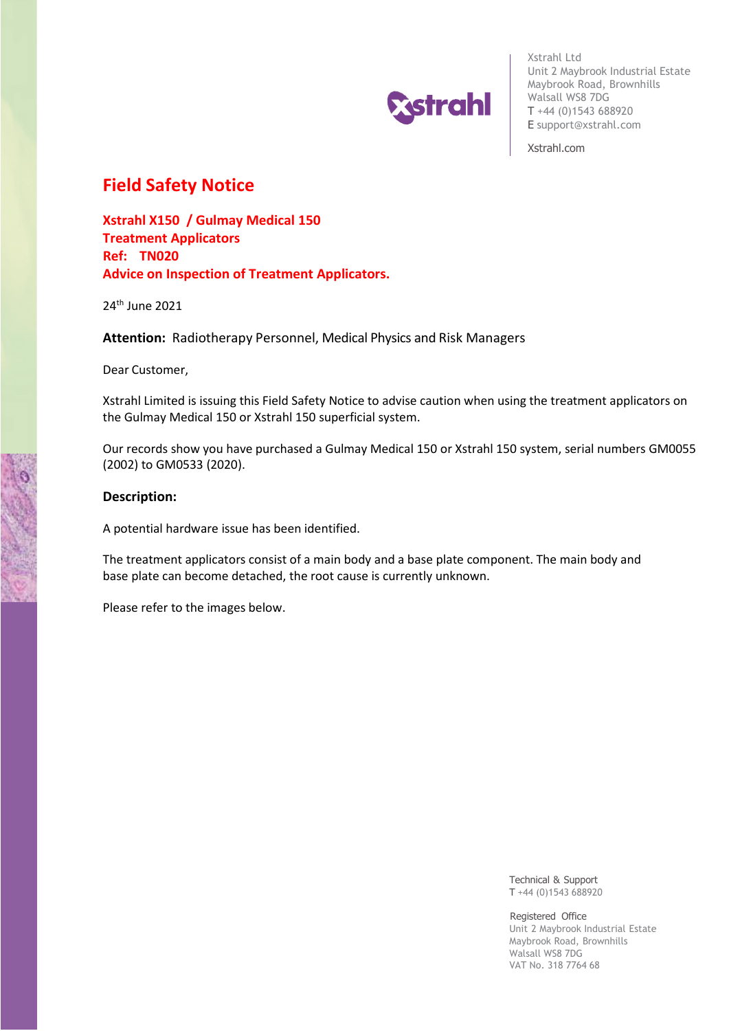

Xstrahl.com

# **Field Safety Notice**

**Xstrahl X150 / Gulmay Medical 150 Treatment Applicators Ref: TN020 Advice on Inspection of Treatment Applicators.**

24th June 2021

**Attention:** Radiotherapy Personnel, Medical Physics and Risk Managers

Dear Customer,

Xstrahl Limited is issuing this Field Safety Notice to advise caution when using the treatment applicators on the Gulmay Medical 150 or Xstrahl 150 superficial system.

Our records show you have purchased a Gulmay Medical 150 or Xstrahl 150 system, serial numbers GM0055 (2002) to GM0533 (2020).

### **Description:**

A potential hardware issue has been identified.

The treatment applicators consist of a main body and a base plate component. The main body and base plate can become detached, the root cause is currently unknown.

Please refer to the images below.

Technical & Support T +44 (0)1543 688920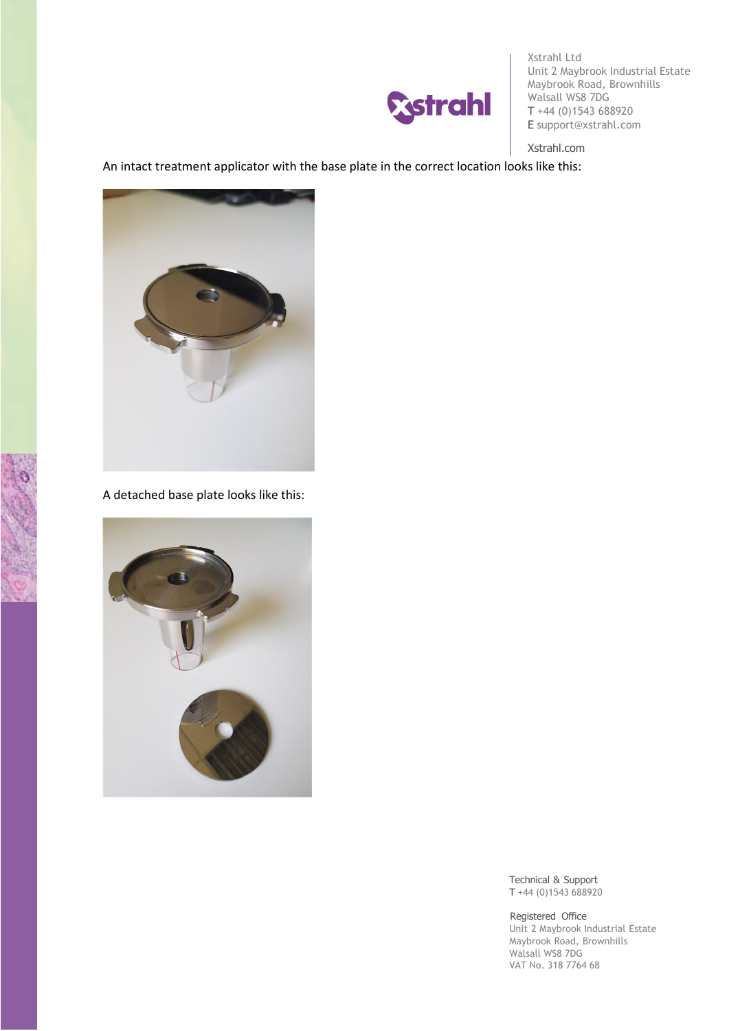

Xstrahl.com

An intact treatment applicator with the base plate in the correct location looks like this:



A detached base plate looks like this:



Technical & Support T +44 (0)1543 688920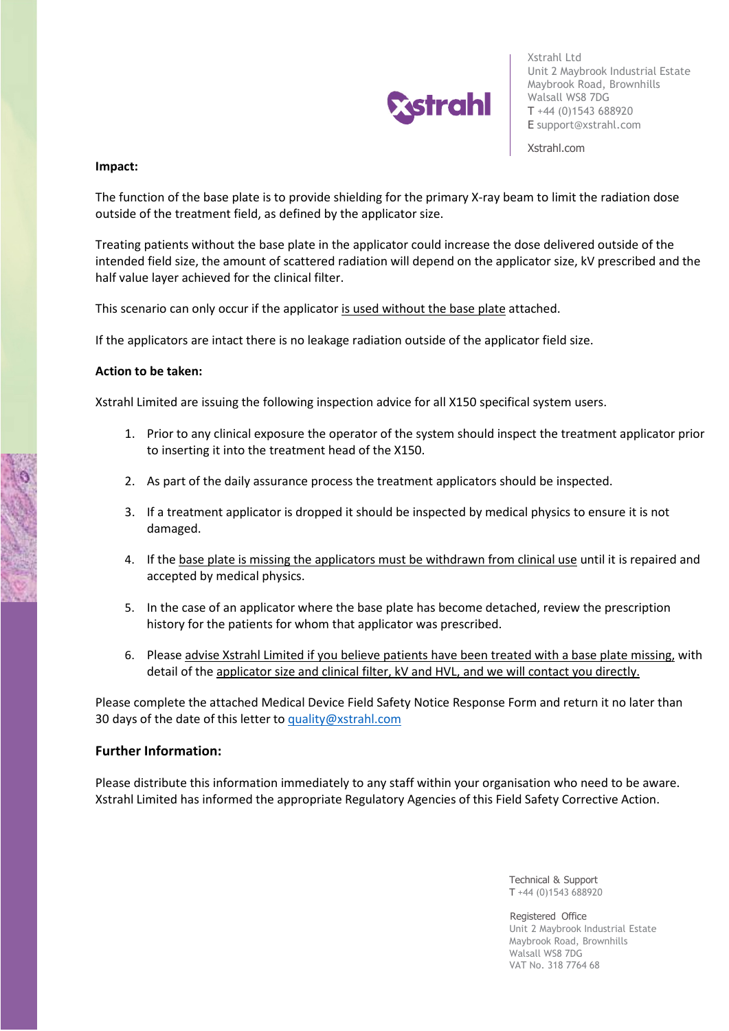

Xstrahl.com

#### **Impact:**

The function of the base plate is to provide shielding for the primary X-ray beam to limit the radiation dose outside of the treatment field, as defined by the applicator size.

Treating patients without the base plate in the applicator could increase the dose delivered outside of the intended field size, the amount of scattered radiation will depend on the applicator size, kV prescribed and the half value layer achieved for the clinical filter.

This scenario can only occur if the applicator is used without the base plate attached.

If the applicators are intact there is no leakage radiation outside of the applicator field size.

#### **Action to be taken:**

Xstrahl Limited are issuing the following inspection advice for all X150 specifical system users.

- 1. Prior to any clinical exposure the operator of the system should inspect the treatment applicator prior to inserting it into the treatment head of the X150.
- 2. As part of the daily assurance process the treatment applicators should be inspected.
- 3. If a treatment applicator is dropped it should be inspected by medical physics to ensure it is not damaged.
- 4. If the base plate is missing the applicators must be withdrawn from clinical use until it is repaired and accepted by medical physics.
- 5. In the case of an applicator where the base plate has become detached, review the prescription history for the patients for whom that applicator was prescribed.
- 6. Please advise Xstrahl Limited if you believe patients have been treated with a base plate missing, with detail of the applicator size and clinical filter, kV and HVL, and we will contact you directly.

Please complete the attached Medical Device Field Safety Notice Response Form and return it no later than 30 days of the date of this letter to [quality@xstrahl.com](mailto:quality@xstrahl.com)

### **Further Information:**

Please distribute this information immediately to any staff within your organisation who need to be aware. Xstrahl Limited has informed the appropriate Regulatory Agencies of this Field Safety Corrective Action.

> Technical & Support T +44 (0)1543 688920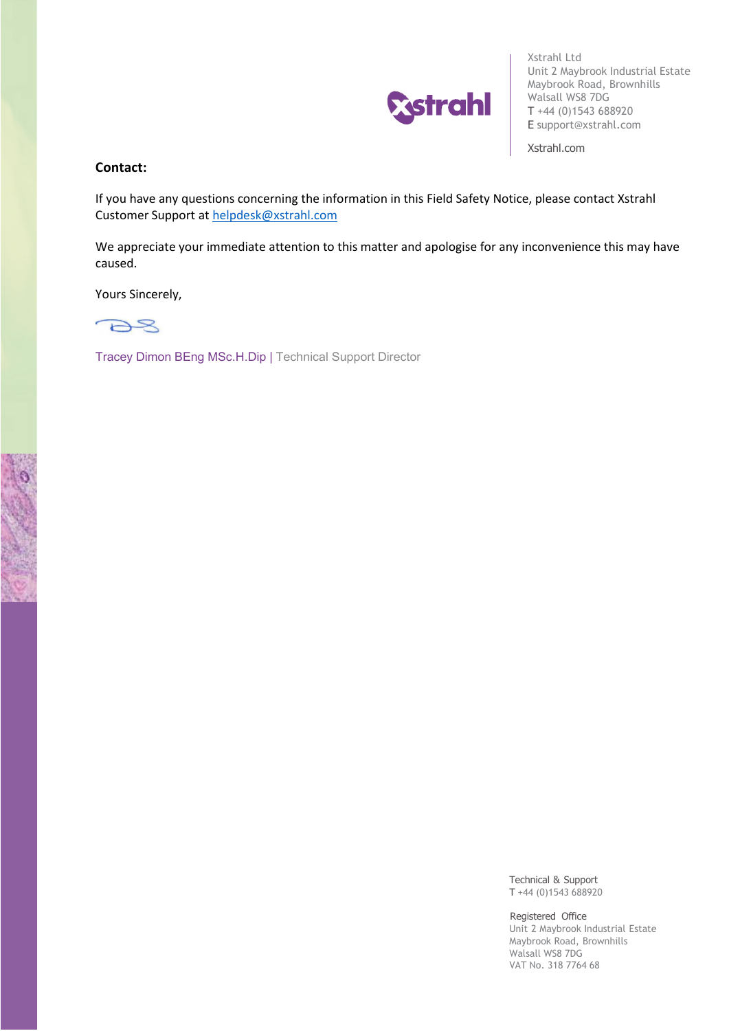

Xstrahl.com

#### **Contact:**

If you have any questions concerning the information in this Field Safety Notice, please contact Xstrahl Customer Support at [helpdesk@xstrahl.com](mailto:helpdesk@xstrahl.com)

We appreciate your immediate attention to this matter and apologise for any inconvenience this may have caused.

Yours Sincerely,



Tracey Dimon BEng MSc.H.Dip | Technical Support Director

Technical & Support T +44 (0)1543 688920